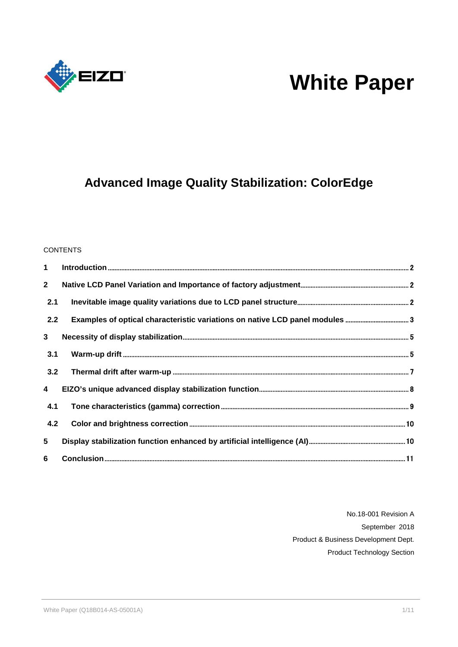

# **White Paper**

## **Advanced Image Quality Stabilization: ColorEdge**

#### **CONTENTS**

| 1                       |  |
|-------------------------|--|
| $\mathbf{2}$            |  |
| 2.1                     |  |
| 2.2                     |  |
| $\mathbf{3}$            |  |
| 3.1                     |  |
| 3.2                     |  |
| $\overline{\mathbf{4}}$ |  |
| 4.1                     |  |
| 4.2                     |  |
| 5                       |  |
| 6                       |  |

No.18-001 Revision A September 2018 Product & Business Development Dept. Product Technology Section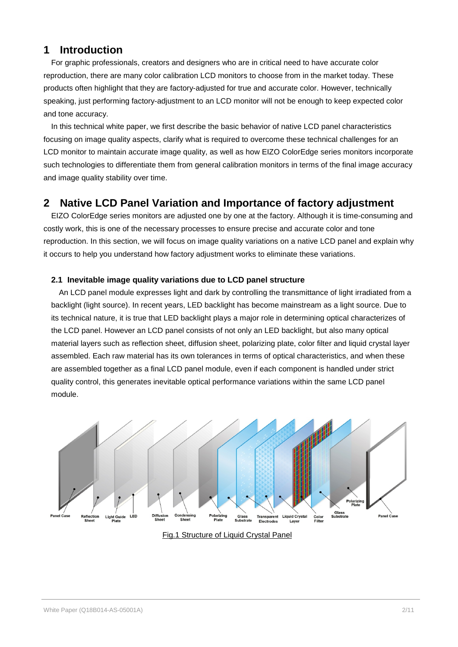## <span id="page-1-0"></span>**1 Introduction**

For graphic professionals, creators and designers who are in critical need to have accurate color reproduction, there are many color calibration LCD monitors to choose from in the market today. These products often highlight that they are factory-adjusted for true and accurate color. However, technically speaking, just performing factory-adjustment to an LCD monitor will not be enough to keep expected color and tone accuracy.

In this technical white paper, we first describe the basic behavior of native LCD panel characteristics focusing on image quality aspects, clarify what is required to overcome these technical challenges for an LCD monitor to maintain accurate image quality, as well as how EIZO ColorEdge series monitors incorporate such technologies to differentiate them from general calibration monitors in terms of the final image accuracy and image quality stability over time.

## <span id="page-1-1"></span>**2 Native LCD Panel Variation and Importance of factory adjustment**

EIZO ColorEdge series monitors are adjusted one by one at the factory. Although it is time-consuming and costly work, this is one of the necessary processes to ensure precise and accurate color and tone reproduction. In this section, we will focus on image quality variations on a native LCD panel and explain why it occurs to help you understand how factory adjustment works to eliminate these variations.

#### <span id="page-1-2"></span>**2.1 Inevitable image quality variations due to LCD panel structure**

An LCD panel module expresses light and dark by controlling the transmittance of light irradiated from a backlight (light source). In recent years, LED backlight has become mainstream as a light source. Due to its technical nature, it is true that LED backlight plays a major role in determining optical characterizes of the LCD panel. However an LCD panel consists of not only an LED backlight, but also many optical material layers such as reflection sheet, diffusion sheet, polarizing plate, color filter and liquid crystal layer assembled. Each raw material has its own tolerances in terms of optical characteristics, and when these are assembled together as a final LCD panel module, even if each component is handled under strict quality control, this generates inevitable optical performance variations within the same LCD panel module.



Fig.1 Structure of Liquid Crystal Panel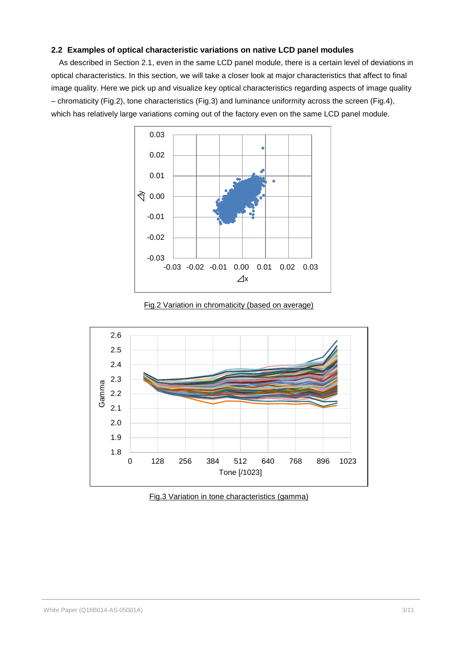#### <span id="page-2-0"></span>**2.2 Examples of optical characteristic variations on native LCD panel modules**

As described in Section 2.1, even in the same LCD panel module, there is a certain level of deviations in optical characteristics. In this section, we will take a closer look at major characteristics that affect to final image quality. Here we pick up and visualize key optical characteristics regarding aspects of image quality – chromaticity (Fig.2), tone characteristics (Fig.3) and luminance uniformity across the screen (Fig.4), which has relatively large variations coming out of the factory even on the same LCD panel module.



Fig.2 Variation in chromaticity (based on average)



Fig.3 Variation in tone characteristics (gamma)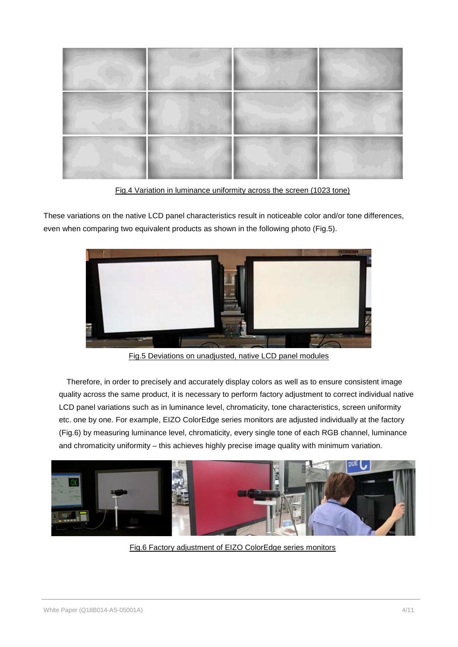

Fig.4 Variation in luminance uniformity across the screen (1023 tone)

These variations on the native LCD panel characteristics result in noticeable color and/or tone differences, even when comparing two equivalent products as shown in the following photo (Fig.5).



Fig.5 Deviations on unadjusted, native LCD panel modules

Therefore, in order to precisely and accurately display colors as well as to ensure consistent image quality across the same product, it is necessary to perform factory adjustment to correct individual native LCD panel variations such as in luminance level, chromaticity, tone characteristics, screen uniformity etc. one by one. For example, EIZO ColorEdge series monitors are adjusted individually at the factory (Fig.6) by measuring luminance level, chromaticity, every single tone of each RGB channel, luminance and chromaticity uniformity – this achieves highly precise image quality with minimum variation.



Fig.6 Factory adjustment of EIZO ColorEdge series monitors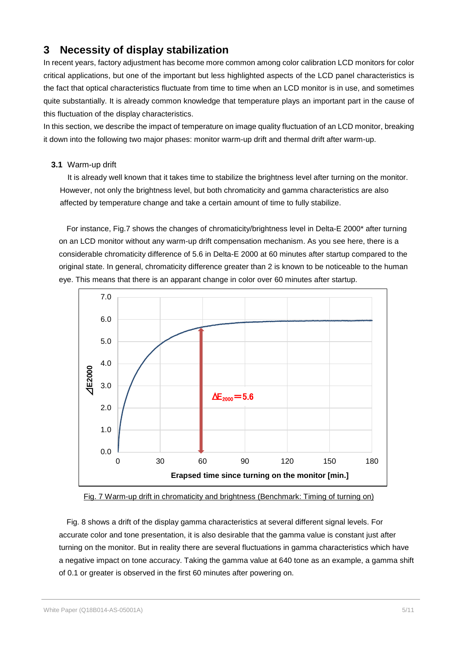## <span id="page-4-0"></span>**3 Necessity of display stabilization**

In recent years, factory adjustment has become more common among color calibration LCD monitors for color critical applications, but one of the important but less highlighted aspects of the LCD panel characteristics is the fact that optical characteristics fluctuate from time to time when an LCD monitor is in use, and sometimes quite substantially. It is already common knowledge that temperature plays an important part in the cause of this fluctuation of the display characteristics.

In this section, we describe the impact of temperature on image quality fluctuation of an LCD monitor, breaking it down into the following two major phases: monitor warm-up drift and thermal drift after warm-up.

#### <span id="page-4-1"></span>**3.1** Warm-up drift

It is already well known that it takes time to stabilize the brightness level after turning on the monitor. However, not only the brightness level, but both chromaticity and gamma characteristics are also affected by temperature change and take a certain amount of time to fully stabilize.

For instance, Fig.7 shows the changes of chromaticity/brightness level in Delta-E 2000\* after turning on an LCD monitor without any warm-up drift compensation mechanism. As you see here, there is a considerable chromaticity difference of 5.6 in Delta-E 2000 at 60 minutes after startup compared to the original state. In general, chromaticity difference greater than 2 is known to be noticeable to the human eye. This means that there is an apparant change in color over 60 minutes after startup.



Fig. 7 Warm-up drift in chromaticity and brightness (Benchmark: Timing of turning on)

Fig. 8 shows a drift of the display gamma characteristics at several different signal levels. For accurate color and tone presentation, it is also desirable that the gamma value is constant just after turning on the monitor. But in reality there are several fluctuations in gamma characteristics which have a negative impact on tone accuracy. Taking the gamma value at 640 tone as an example, a gamma shift of 0.1 or greater is observed in the first 60 minutes after powering on.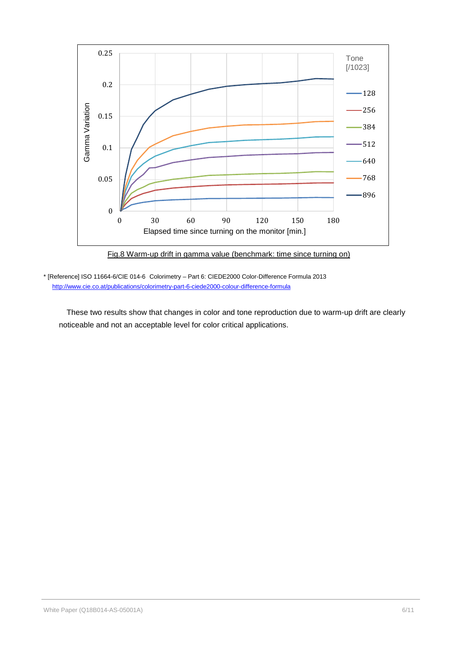

Fig.8 Warm-up drift in gamma value (benchmark: time since turning on)

\* [Reference] ISO 11664-6/CIE 014-6 Colorimetry – Part 6: CIEDE2000 Color-Difference Formula 2013 <http://www.cie.co.at/publications/colorimetry-part-6-ciede2000-colour-difference-formula>

These two results show that changes in color and tone reproduction due to warm-up drift are clearly noticeable and not an acceptable level for color critical applications.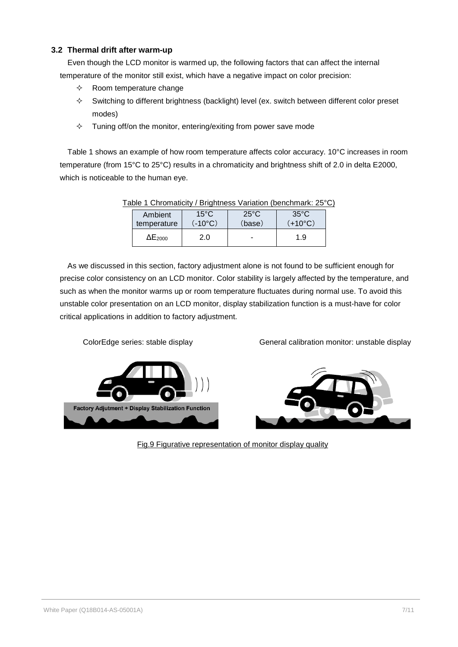#### <span id="page-6-0"></span>**3.2 Thermal drift after warm-up**

Even though the LCD monitor is warmed up, the following factors that can affect the internal temperature of the monitor still exist, which have a negative impact on color precision:

- $\Diamond$  Room temperature change
- $\Diamond$  Switching to different brightness (backlight) level (ex. switch between different color preset modes)
- $\Diamond$  Tuning off/on the monitor, entering/exiting from power save mode

Table 1 shows an example of how room temperature affects color accuracy. 10°C increases in room temperature (from 15°C to 25°C) results in a chromaticity and brightness shift of 2.0 in delta E2000, which is noticeable to the human eye.

| able 1 Chromaticity / Brightness variation (benchmark: 25 C |                  |                |                  |  |  |  |  |  |
|-------------------------------------------------------------|------------------|----------------|------------------|--|--|--|--|--|
| Ambient                                                     | $15^{\circ}$ C   | $25^{\circ}$ C | $35^{\circ}$ C   |  |  |  |  |  |
| temperature                                                 | $(-10^{\circ}C)$ | (base)         | $(+10^{\circ}C)$ |  |  |  |  |  |
| $\Delta E_{2000}$                                           | 2.0              |                | 1.9              |  |  |  |  |  |

## Table 1 Chromaticity / Brightness Variation (benchmark: 25°C)

As we discussed in this section, factory adjustment alone is not found to be sufficient enough for precise color consistency on an LCD monitor. Color stability is largely affected by the temperature, and such as when the monitor warms up or room temperature fluctuates during normal use. To avoid this unstable color presentation on an LCD monitor, display stabilization function is a must-have for color critical applications in addition to factory adjustment.



ColorEdge series: stable display General calibration monitor: unstable display



Fig.9 Figurative representation of monitor display quality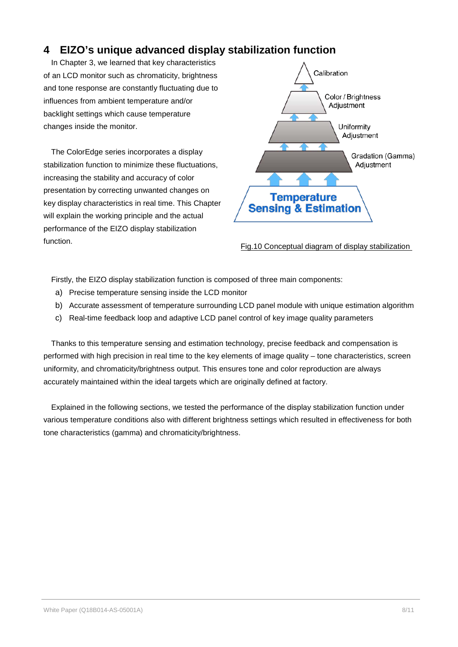## <span id="page-7-0"></span>**4 EIZO's unique advanced display stabilization function**

In Chapter 3, we learned that key characteristics of an LCD monitor such as chromaticity, brightness and tone response are constantly fluctuating due to influences from ambient temperature and/or backlight settings which cause temperature changes inside the monitor.

The ColorEdge series incorporates a display stabilization function to minimize these fluctuations, increasing the stability and accuracy of color presentation by correcting unwanted changes on key display characteristics in real time. This Chapter will explain the working principle and the actual performance of the EIZO display stabilization function.



Fig.10 Conceptual diagram of display stabilization

Firstly, the EIZO display stabilization function is composed of three main components:

- a) Precise temperature sensing inside the LCD monitor
- b) Accurate assessment of temperature surrounding LCD panel module with unique estimation algorithm
- c) Real-time feedback loop and adaptive LCD panel control of key image quality parameters

Thanks to this temperature sensing and estimation technology, precise feedback and compensation is performed with high precision in real time to the key elements of image quality – tone characteristics, screen uniformity, and chromaticity/brightness output. This ensures tone and color reproduction are always accurately maintained within the ideal targets which are originally defined at factory.

Explained in the following sections, we tested the performance of the display stabilization function under various temperature conditions also with different brightness settings which resulted in effectiveness for both tone characteristics (gamma) and chromaticity/brightness.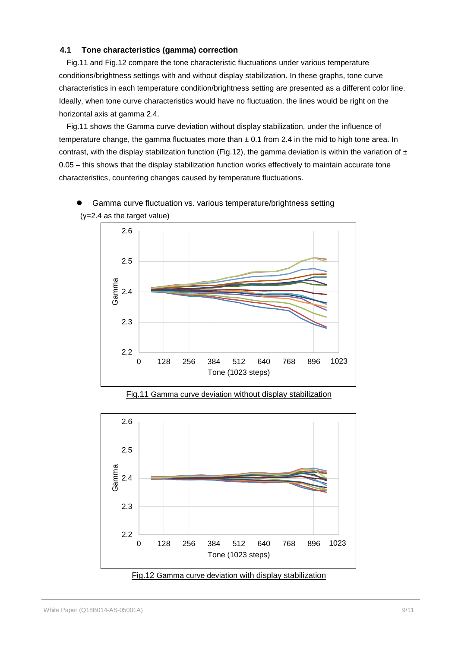#### <span id="page-8-0"></span>**4.1 Tone characteristics (gamma) correction**

Fig.11 and Fig.12 compare the tone characteristic fluctuations under various temperature conditions/brightness settings with and without display stabilization. In these graphs, tone curve characteristics in each temperature condition/brightness setting are presented as a different color line. Ideally, when tone curve characteristics would have no fluctuation, the lines would be right on the horizontal axis at gamma 2.4.

Fig.11 shows the Gamma curve deviation without display stabilization, under the influence of temperature change, the gamma fluctuates more than  $\pm$  0.1 from 2.4 in the mid to high tone area. In contrast, with the display stabilization function (Fig.12), the gamma deviation is within the variation of  $\pm$ 0.05 – this shows that the display stabilization function works effectively to maintain accurate tone characteristics, countering changes caused by temperature fluctuations.



 Gamma curve fluctuation vs. various temperature/brightness setting (γ=2.4 as the target value)

Fig.11 Gamma curve deviation without display stabilization



Fig.12 Gamma curve deviation with display stabilization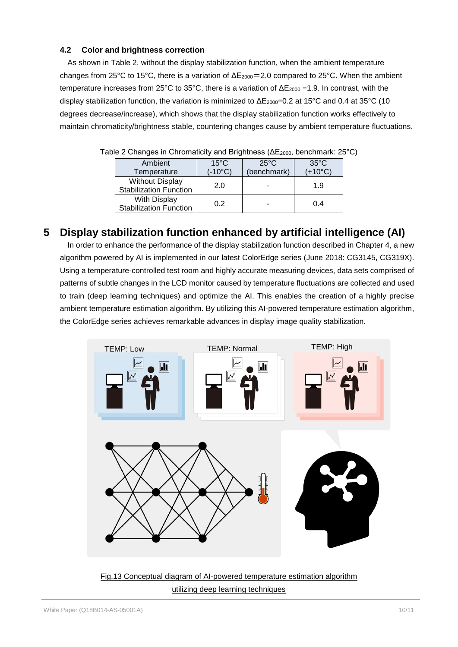#### <span id="page-9-0"></span>**4.2 Color and brightness correction**

As shown in Table 2, without the display stabilization function, when the ambient temperature changes from 25°C to 15°C, there is a variation of  $\Delta E_{2000} = 2.0$  compared to 25°C. When the ambient temperature increases from 25°C to 35°C, there is a variation of  $\Delta E_{2000}$  =1.9. In contrast, with the display stabilization function, the variation is minimized to  $\Delta E_{2000}=0.2$  at 15°C and 0.4 at 35°C (10 degrees decrease/increase), which shows that the display stabilization function works effectively to maintain chromaticity/brightness stable, countering changes cause by ambient temperature fluctuations.

| Ambient<br>Temperature                                  | $15^{\circ}$ C<br>$(-10^{\circ}C)$ | $25^{\circ}$ C<br>(benchmark) | $35^{\circ}$ C<br>$(+10^{\circ}C)$ |  |  |  |
|---------------------------------------------------------|------------------------------------|-------------------------------|------------------------------------|--|--|--|
| <b>Without Display</b><br><b>Stabilization Function</b> | 2.0                                |                               | 1.9                                |  |  |  |
| With Display<br><b>Stabilization Function</b>           | 02                                 |                               | 0.4                                |  |  |  |

Table 2 Changes in Chromaticity and Brightness (ΔE2000, benchmark: 25°C)

## <span id="page-9-1"></span>**5 Display stabilization function enhanced by artificial intelligence (AI)**

In order to enhance the performance of the display stabilization function described in Chapter 4, a new algorithm powered by AI is implemented in our latest ColorEdge series (June 2018: CG3145, CG319X). Using a temperature-controlled test room and highly accurate measuring devices, data sets comprised of patterns of subtle changes in the LCD monitor caused by temperature fluctuations are collected and used to train (deep learning techniques) and optimize the AI. This enables the creation of a highly precise ambient temperature estimation algorithm. By utilizing this AI-powered temperature estimation algorithm, the ColorEdge series achieves remarkable advances in display image quality stabilization.



Fig.13 Conceptual diagram of AI-powered temperature estimation algorithm utilizing deep learning techniques